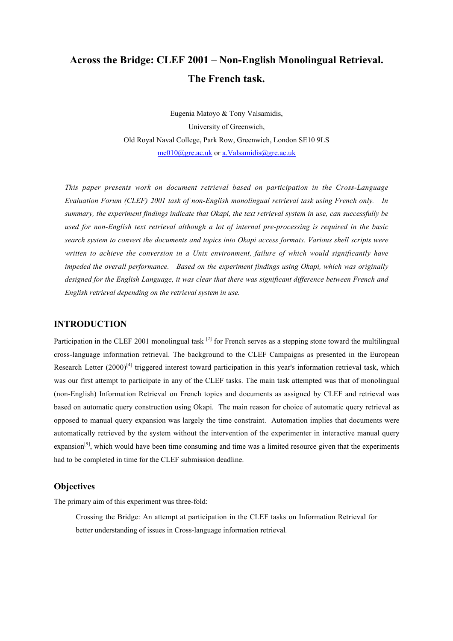# **Across the Bridge: CLEF 2001 – Non-English Monolingual Retrieval. The French task.**

Eugenia Matoyo & Tony Valsamidis, University of Greenwich, Old Royal Naval College, Park Row, Greenwich, London SE10 9LS me010@gre.ac.uk or a.Valsamidis@gre.ac.uk

*This paper presents work on document retrieval based on participation in the Cross-Language Evaluation Forum (CLEF) 2001 task of non-English monolingual retrieval task using French only. In summary, the experiment findings indicate that Okapi, the text retrieval system in use, can successfully be used for non-English text retrieval although a lot of internal pre-processing is required in the basic search system to convert the documents and topics into Okapi access formats. Various shell scripts were written to achieve the conversion in a Unix environment, failure of which would significantly have impeded the overall performance. Based on the experiment findings using Okapi, which was originally designed for the English Language, it was clear that there was significant difference between French and English retrieval depending on the retrieval system in use.*

# **INTRODUCTION**

Participation in the CLEF 2001 monolingual task  $^{[2]}$  for French serves as a stepping stone toward the multilingual cross-language information retrieval. The background to the CLEF Campaigns as presented in the European Research Letter  $(2000)^{[4]}$  triggered interest toward participation in this year's information retrieval task, which was our first attempt to participate in any of the CLEF tasks. The main task attempted was that of monolingual (non-English) Information Retrieval on French topics and documents as assigned by CLEF and retrieval was based on automatic query construction using Okapi. The main reason for choice of automatic query retrieval as opposed to manual query expansion was largely the time constraint. Automation implies that documents were automatically retrieved by the system without the intervention of the experimenter in interactive manual query expansion<sup>[9]</sup>, which would have been time consuming and time was a limited resource given that the experiments had to be completed in time for the CLEF submission deadline.

# **Objectives**

The primary aim of this experiment was three-fold:

Crossing the Bridge: An attempt at participation in the CLEF tasks on Information Retrieval for better understanding of issues in Cross-language information retrieval*.*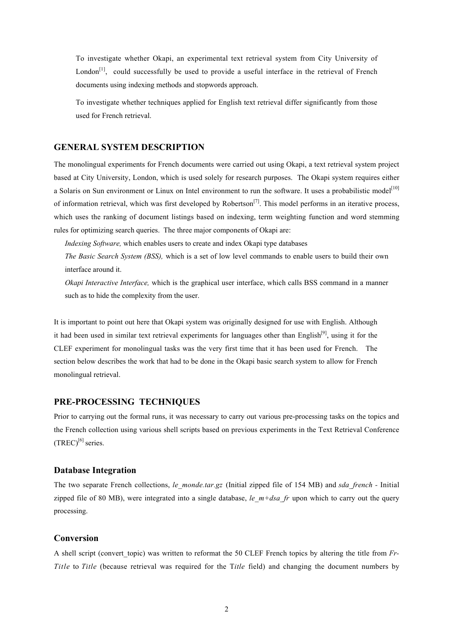To investigate whether Okapi, an experimental text retrieval system from City University of London<sup>[1]</sup>, could successfully be used to provide a useful interface in the retrieval of French documents using indexing methods and stopwords approach.

To investigate whether techniques applied for English text retrieval differ significantly from those used for French retrieval.

#### **GENERAL SYSTEM DESCRIPTION**

The monolingual experiments for French documents were carried out using Okapi, a text retrieval system project based at City University, London, which is used solely for research purposes. The Okapi system requires either a Solaris on Sun environment or Linux on Intel environment to run the software. It uses a probabilistic model<sup>[10]</sup> of information retrieval, which was first developed by Robertson<sup>[7]</sup>. This model performs in an iterative process, which uses the ranking of document listings based on indexing, term weighting function and word stemming rules for optimizing search queries. The three major components of Okapi are:

*Indexing Software,* which enables users to create and index Okapi type databases

*The Basic Search System (BSS),* which is a set of low level commands to enable users to build their own interface around it.

*Okapi Interactive Interface,* which is the graphical user interface, which calls BSS command in a manner such as to hide the complexity from the user.

It is important to point out here that Okapi system was originally designed for use with English. Although it had been used in similar text retrieval experiments for languages other than English $[9]$ , using it for the CLEF experiment for monolingual tasks was the very first time that it has been used for French. The section below describes the work that had to be done in the Okapi basic search system to allow for French monolingual retrieval.

## **PRE-PROCESSING TECHNIQUES**

Prior to carrying out the formal runs, it was necessary to carry out various pre-processing tasks on the topics and the French collection using various shell scripts based on previous experiments in the Text Retrieval Conference  $(TREC)^{[6]}$  series.

# **Database Integration**

The two separate French collections, *le\_monde.tar.gz* (Initial zipped file of 154 MB) and *sda\_french -* Initial zipped file of 80 MB), were integrated into a single database, *le m+dsa fr* upon which to carry out the query processing.

## **Conversion**

A shell script (convert topic) was written to reformat the 50 CLEF French topics by altering the title from *Fr*-*Title* to *Title* (because retrieval was required for the T*itle* field) and changing the document numbers by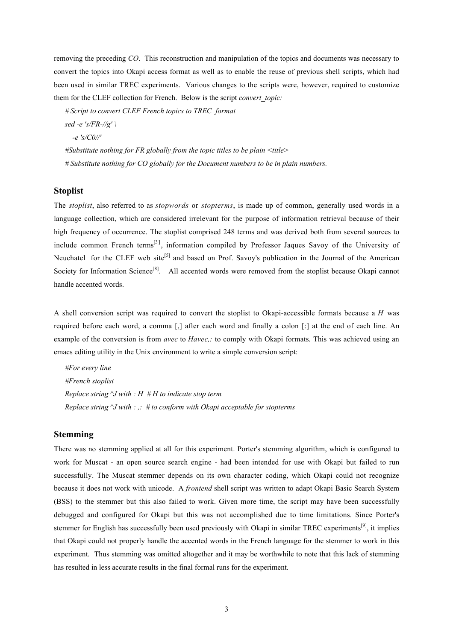removing the preceding *CO*. This reconstruction and manipulation of the topics and documents was necessary to convert the topics into Okapi access format as well as to enable the reuse of previous shell scripts, which had been used in similar TREC experiments. Various changes to the scripts were, however, required to customize them for the CLEF collection for French. Below is the script *convert\_topic:*

*# Script to convert CLEF French topics to TREC format sed -e 's/FR-//g' \ -e 's/C0//' #Substitute nothing for FR globally from the topic titles to be plain <title> # Substitute nothing for CO globally for the Document numbers to be in plain numbers.*

#### **Stoplist**

The *stoplist*, also referred to as *stopwords* or *stopterms*, is made up of common, generally used words in a language collection, which are considered irrelevant for the purpose of information retrieval because of their high frequency of occurrence. The stoplist comprised 248 terms and was derived both from several sources to include common French terms<sup>[3]</sup>, information compiled by Professor Jaques Savoy of the University of Neuchatel for the CLEF web site<sup>[5]</sup> and based on Prof. Savoy's publication in the Journal of the American Society for Information Science<sup>[8]</sup>. All accented words were removed from the stoplist because Okapi cannot handle accented words.

A shell conversion script was required to convert the stoplist to Okapi-accessible formats because a *H* was required before each word, a comma [,] after each word and finally a colon [:] at the end of each line. An example of the conversion is from *avec* to *Havec,:* to comply with Okapi formats. This was achieved using an emacs editing utility in the Unix environment to write a simple conversion script:

*#For every line #French stoplist Replace string ^J with : H # H to indicate stop term Replace string ^J with : ,: # to conform with Okapi acceptable for stopterms*

#### **Stemming**

There was no stemming applied at all for this experiment. Porter's stemming algorithm, which is configured to work for Muscat - an open source search engine - had been intended for use with Okapi but failed to run successfully. The Muscat stemmer depends on its own character coding, which Okapi could not recognize because it does not work with unicode. A *frontend* shell script was written to adapt Okapi Basic Search System (BSS) to the stemmer but this also failed to work. Given more time, the script may have been successfully debugged and configured for Okapi but this was not accomplished due to time limitations. Since Porter's stemmer for English has successfully been used previously with Okapi in similar TREC experiments<sup>[9]</sup>, it implies that Okapi could not properly handle the accented words in the French language for the stemmer to work in this experiment. Thus stemming was omitted altogether and it may be worthwhile to note that this lack of stemming has resulted in less accurate results in the final formal runs for the experiment.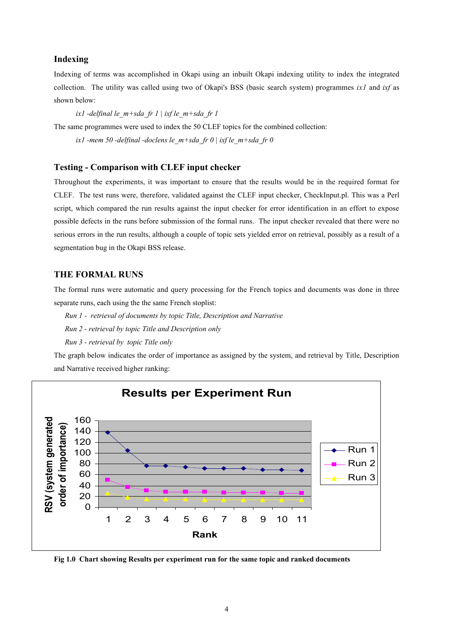## **Indexing**

Indexing of terms was accomplished in Okapi using an inbuilt Okapi indexing utility to index the integrated collection. The utility was called using two of Okapi's BSS (basic search system) programmes *ix1* and *ixf* as shown below:

*ix1 -delfinal le\_m+sda\_fr 1 | ixf le\_m+sda\_fr 1*

The same programmes were used to index the 50 CLEF topics for the combined collection:

*ix1 -mem 50 -delfinal -doclens le\_m+sda\_fr 0 | ixf le\_m+sda\_fr 0*

## **Testing - Comparison with CLEF input checker**

Throughout the experiments, it was important to ensure that the results would be in the required format for CLEF. The test runs were, therefore, validated against the CLEF input checker, CheckInput.pl. This was a Perl script, which compared the run results against the input checker for error identification in an effort to expose possible defects in the runs before submission of the formal runs. The input checker revealed that there were no serious errors in the run results, although a couple of topic sets yielded error on retrieval, possibly as a result of a segmentation bug in the Okapi BSS release.

#### **THE FORMAL RUNS**

The formal runs were automatic and query processing for the French topics and documents was done in three separate runs, each using the the same French stoplist:

- *Run 1 retrieval of documents by topic Title, Description and Narrative*
- *Run 2 retrieval by topic Title and Description only*

*Run 3 - retrieval by topic Title only*

The graph below indicates the order of importance as assigned by the system, and retrieval by Title, Description and Narrative received higher ranking:



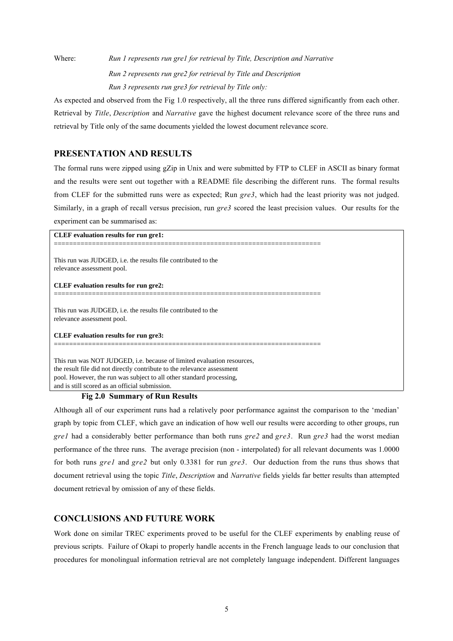Where: *Run 1 represents run gre1 for retrieval by Title, Description and Narrative Run 2 represents run gre2 for retrieval by Title and Description Run 3 represents run gre3 for retrieval by Title only:*

As expected and observed from the Fig 1.0 respectively, all the three runs differed significantly from each other. Retrieval by *Title*, *Description* and *Narrative* gave the highest document relevance score of the three runs and retrieval by Title only of the same documents yielded the lowest document relevance score.

# **PRESENTATION AND RESULTS**

The formal runs were zipped using gZip in Unix and were submitted by FTP to CLEF in ASCII as binary format and the results were sent out together with a README file describing the different runs. The formal results from CLEF for the submitted runs were as expected; Run *gre3*, which had the least priority was not judged. Similarly, in a graph of recall versus precision, run *gre3* scored the least precision values. Our results for the experiment can be summarised as:

**CLEF evaluation results for run gre1:** ====================================================================== This run was JUDGED, i.e. the results file contributed to the relevance assessment pool. **CLEF evaluation results for run gre2:** ====================================================================== This run was JUDGED, i.e. the results file contributed to the relevance assessment pool. **CLEF evaluation results for run gre3:** ====================================================================== This run was NOT JUDGED, i.e. because of limited evaluation resources, the result file did not directly contribute to the relevance assessment pool. However, the run was subject to all other standard processing, and is still scored as an official submission.

#### **Fig 2.0 Summary of Run Results**

Although all of our experiment runs had a relatively poor performance against the comparison to the 'median' graph by topic from CLEF, which gave an indication of how well our results were according to other groups, run *gre1* had a considerably better performance than both runs *gre2* and *gre3*. Run *gre3* had the worst median performance of the three runs. The average precision (non - interpolated) for all relevant documents was 1.0000 for both runs *gre1* and *gre2* but only 0.3381 for run *gre3*. Our deduction from the runs thus shows that document retrieval using the topic *Title*, *Description* and *Narrative* fields yields far better results than attempted document retrieval by omission of any of these fields.

# **CONCLUSIONS AND FUTURE WORK**

Work done on similar TREC experiments proved to be useful for the CLEF experiments by enabling reuse of previous scripts. Failure of Okapi to properly handle accents in the French language leads to our conclusion that procedures for monolingual information retrieval are not completely language independent. Different languages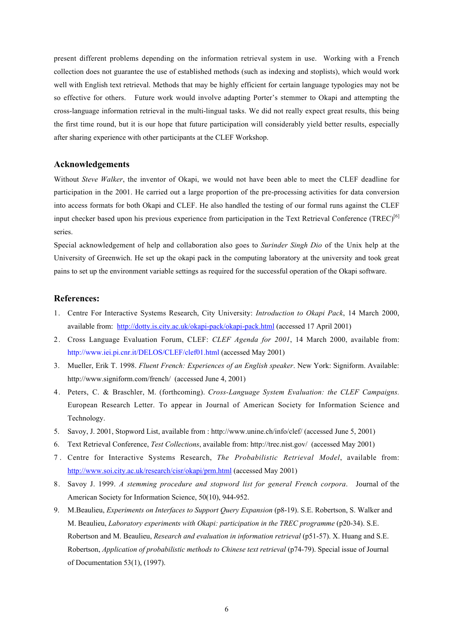present different problems depending on the information retrieval system in use. Working with a French collection does not guarantee the use of established methods (such as indexing and stoplists), which would work well with English text retrieval. Methods that may be highly efficient for certain language typologies may not be so effective for others. Future work would involve adapting Porter's stemmer to Okapi and attempting the cross-language information retrieval in the multi-lingual tasks. We did not really expect great results, this being the first time round, but it is our hope that future participation will considerably yield better results, especially after sharing experience with other participants at the CLEF Workshop.

#### **Acknowledgements**

Without *Steve Walker*, the inventor of Okapi, we would not have been able to meet the CLEF deadline for participation in the 2001. He carried out a large proportion of the pre-processing activities for data conversion into access formats for both Okapi and CLEF. He also handled the testing of our formal runs against the CLEF input checker based upon his previous experience from participation in the Text Retrieval Conference (TREC)<sup>[6]</sup> series.

Special acknowledgement of help and collaboration also goes to *Surinder Singh Dio* of the Unix help at the University of Greenwich. He set up the okapi pack in the computing laboratory at the university and took great pains to set up the environment variable settings as required for the successful operation of the Okapi software.

#### **References:**

- 1. Centre For Interactive Systems Research, City University: *Introduction to Okapi Pack*, 14 March 2000, available from: http://dotty.is.city.ac.uk/okapi-pack/okapi-pack.html (accessed 17 April 2001)
- 2. Cross Language Evaluation Forum, CLEF: *CLEF Agenda for 2001*, 14 March 2000, available from: http://www.iei.pi.cnr.it/DELOS/CLEF/clef01.html (accessed May 2001)
- 3. Mueller, Erik T. 1998. *Fluent French: Experiences of an English speaker*. New York: Signiform. Available: http://www.signiform.com/french/ (accessed June 4, 2001)
- 4. Peters, C. & Braschler, M. (forthcoming). *Cross-Language System Evaluation: the CLEF Campaigns.* European Research Letter. To appear in Journal of American Society for Information Science and Technology.
- 5. Savoy, J. 2001, Stopword List, available from : http://www.unine.ch/info/clef/ (accessed June 5, 2001)
- 6. Text Retrieval Conference, *Test Collections*, available from: http://trec.nist.gov/ (accessed May 2001)
- 7 . Centre for Interactive Systems Research, *The Probabilistic Retrieval Model*, available from: http://www.soi.city.ac.uk/research/cisr/okapi/prm.html (accessed May 2001)
- 8. Savoy J. 1999. *A stemming procedure and stopword list for general French corpora*. Journal of the American Society for Information Science, 50(10), 944-952.
- 9. M.Beaulieu, *Experiments on Interfaces to Support Query Expansion* (p8-19). S.E. Robertson, S. Walker and M. Beaulieu, *Laboratory experiments with Okapi: participation in the TREC programme* (p20-34). S.E. Robertson and M. Beaulieu, *Research and evaluation in information retrieval* (p51-57). X. Huang and S.E. Robertson, *Application of probabilistic methods to Chinese text retrieval* (p74-79). Special issue of Journal of Documentation 53(1), (1997).